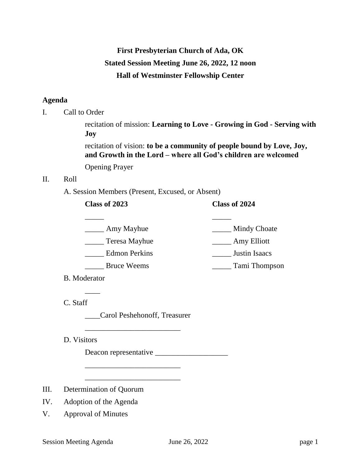# **First Presbyterian Church of Ada, OK Stated Session Meeting June 26, 2022, 12 noon Hall of Westminster Fellowship Center**

## **Agenda**

I. Call to Order

recitation of mission: **Learning to Love - Growing in God - Serving with Joy**

recitation of vision: **to be a community of people bound by Love, Joy, and Growth in the Lord – where all God's children are welcomed**

Opening Prayer

# II. Roll

A. Session Members (Present, Excused, or Absent)

# **Class of 2023 Class of 2024**

| Amy Mayhue           | <b>Mindy Choate</b> |
|----------------------|---------------------|
| Teresa Mayhue        | Amy Elliott         |
| <b>Edmon Perkins</b> | Justin Isaacs       |
| <b>Bruce Weems</b>   | Tami Thompson       |

B. Moderator

 $\overline{\phantom{a}}$ 

C. Staff

\_\_\_\_Carol Peshehonoff, Treasurer

\_\_\_\_\_\_\_\_\_\_\_\_\_\_\_\_\_\_\_\_\_\_\_\_\_

\_\_\_\_\_\_\_\_\_\_\_\_\_\_\_\_\_\_\_\_\_\_\_\_\_

\_\_\_\_\_\_\_\_\_\_\_\_\_\_\_\_\_\_\_\_\_\_\_\_\_

D. Visitors

Deacon representative \_\_\_\_\_\_\_\_\_\_\_\_\_\_\_\_\_\_\_

- III. Determination of Quorum
- IV. Adoption of the Agenda
- V. Approval of Minutes

Session Meeting Agenda June 26, 2022 page 1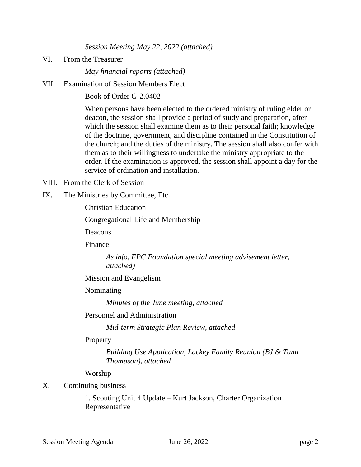*Session Meeting May 22, 2022 (attached)*

VI. From the Treasurer

*May financial reports (attached)*

VII. Examination of Session Members Elect

Book of Order G-2.0402

When persons have been elected to the ordered ministry of ruling elder or deacon, the session shall provide a period of study and preparation, after which the session shall examine them as to their personal faith; knowledge of the doctrine, government, and discipline contained in the Constitution of the church; and the duties of the ministry. The session shall also confer with them as to their willingness to undertake the ministry appropriate to the order. If the examination is approved, the session shall appoint a day for the service of ordination and installation.

- VIII. From the Clerk of Session
- IX. The Ministries by Committee, Etc.

Christian Education

Congregational Life and Membership

Deacons

Finance

*As info, FPC Foundation special meeting advisement letter, attached)*

Mission and Evangelism

## Nominating

*Minutes of the June meeting, attached*

Personnel and Administration

*Mid-term Strategic Plan Review, attached*

## **Property**

*Building Use Application, Lackey Family Reunion (BJ & Tami Thompson), attached*

Worship

## X. Continuing business

1. Scouting Unit 4 Update – Kurt Jackson, Charter Organization Representative